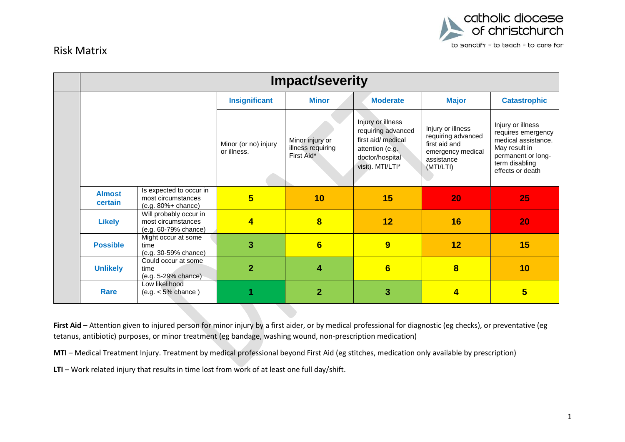

## Risk Matrix

| <b>Impact/severity</b>   |                                                                         |                                     |                                                    |                                                                                                                         |                                                                                                          |                                                                                                                                             |  |
|--------------------------|-------------------------------------------------------------------------|-------------------------------------|----------------------------------------------------|-------------------------------------------------------------------------------------------------------------------------|----------------------------------------------------------------------------------------------------------|---------------------------------------------------------------------------------------------------------------------------------------------|--|
|                          |                                                                         | <b>Insignificant</b>                | <b>Minor</b>                                       | <b>Moderate</b>                                                                                                         | <b>Major</b>                                                                                             | <b>Catastrophic</b>                                                                                                                         |  |
|                          |                                                                         | Minor (or no) injury<br>or illness. | Minor injury or<br>illness requiring<br>First Aid* | Injury or illness<br>requiring advanced<br>first aid/ medical<br>attention (e.g.<br>doctor/hospital<br>visit). MTI/LTI* | Injury or illness<br>requiring advanced<br>first aid and<br>emergency medical<br>assistance<br>(MTI/LTI) | Injury or illness<br>requires emergency<br>medical assistance.<br>May result in<br>permanent or long-<br>term disabling<br>effects or death |  |
| <b>Almost</b><br>certain | Is expected to occur in<br>most circumstances<br>$(e.g. 80\% + chance)$ | $5\overline{5}$                     | 10                                                 | 15                                                                                                                      | 20                                                                                                       | 25                                                                                                                                          |  |
| <b>Likely</b>            | Will probably occur in<br>most circumstances<br>(e.g. 60-79% chance)    | $\overline{4}$                      | $\overline{\mathbf{8}}$                            | 12                                                                                                                      | 16                                                                                                       | 20                                                                                                                                          |  |
| <b>Possible</b>          | Might occur at some<br>time<br>(e.g. 30-59% chance)                     | 3                                   | $6\phantom{1}$                                     | 9                                                                                                                       | 12                                                                                                       | 15                                                                                                                                          |  |
| <b>Unlikely</b>          | Could occur at some<br>time<br>(e.g. 5-29% chance)                      | $\overline{2}$                      | 4                                                  | $6\phantom{1}$                                                                                                          | $\overline{\mathbf{8}}$                                                                                  | 10                                                                                                                                          |  |
| <b>Rare</b>              | Low likelihood<br>$(e.g. < 5\%$ chance)                                 |                                     | $\overline{2}$                                     | 3                                                                                                                       | 4                                                                                                        | $5\overline{}$                                                                                                                              |  |

First Aid – Attention given to injured person for minor injury by a first aider, or by medical professional for diagnostic (eg checks), or preventative (eg tetanus, antibiotic) purposes, or minor treatment (eg bandage, washing wound, non-prescription medication)

**MTI** – Medical Treatment Injury. Treatment by medical professional beyond First Aid (eg stitches, medication only available by prescription)

**LTI** – Work related injury that results in time lost from work of at least one full day/shift.